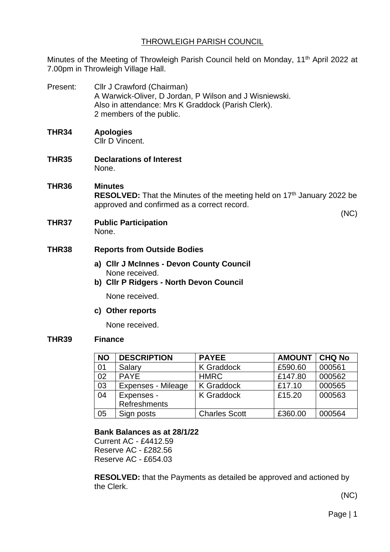# THROWLEIGH PARISH COUNCIL

Minutes of the Meeting of Throwleigh Parish Council held on Monday, 11<sup>th</sup> April 2022 at 7.00pm in Throwleigh Village Hall.

Present: Cllr J Crawford (Chairman) A Warwick-Oliver, D Jordan, P Wilson and J Wisniewski. Also in attendance: Mrs K Graddock (Parish Clerk). 2 members of the public. **THR34 Apologies** Cllr D Vincent. **THR35 Declarations of Interest** None. **THR36 Minutes RESOLVED:** That the Minutes of the meeting held on 17<sup>th</sup> January 2022 be approved and confirmed as a correct record. (NC) **THR37 Public Participation** None. **THR38 Reports from Outside Bodies a) Cllr J McInnes - Devon County Council** None received. **b) Cllr P Ridgers - North Devon Council**

None received.

#### **c) Other reports**

None received.

## **THR39 Finance**

| <b>NO</b> | <b>DESCRIPTION</b>  | <b>PAYEE</b>         | <b>AMOUNT</b> | <b>CHQ No</b> |
|-----------|---------------------|----------------------|---------------|---------------|
| 01        | Salary              | <b>K</b> Graddock    | £590.60       | 000561        |
| 02        | <b>PAYE</b>         | <b>HMRC</b>          | £147.80       | 000562        |
| 03        | Expenses - Mileage  | <b>K</b> Graddock    | £17.10        | 000565        |
| 04        | Expenses -          | <b>K</b> Graddock    | £15.20        | 000563        |
|           | <b>Refreshments</b> |                      |               |               |
| 05        | Sign posts          | <b>Charles Scott</b> | £360.00       | 000564        |

## **Bank Balances as at 28/1/22**

Current AC - £4412.59 Reserve AC - £282.56 Reserve AC - £654.03

**RESOLVED:** that the Payments as detailed be approved and actioned by the Clerk.

(NC)